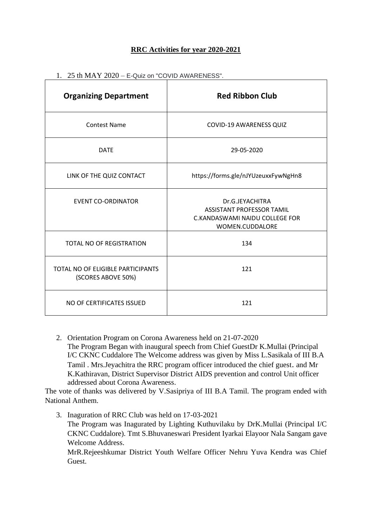## **RRC Activities for year 2020-2021**

| <b>Organizing Department</b>                            | <b>Red Ribbon Club</b>                                                                                   |
|---------------------------------------------------------|----------------------------------------------------------------------------------------------------------|
| <b>Contest Name</b>                                     | COVID-19 AWARENESS QUIZ                                                                                  |
| <b>DATE</b>                                             | 29-05-2020                                                                                               |
| LINK OF THE QUIZ CONTACT                                | https://forms.gle/nJYUzeuxxFywNgHn8                                                                      |
| <b>EVENT CO-ORDINATOR</b>                               | Dr.G.JEYACHITRA<br><b>ASSISTANT PROFESSOR TAMIL</b><br>C.KANDASWAMI NAIDU COLLEGE FOR<br>WOMEN.CUDDALORE |
| TOTAL NO OF REGISTRATION                                | 134                                                                                                      |
| TOTAL NO OF ELIGIBLE PARTICIPANTS<br>(SCORES ABOVE 50%) | 121                                                                                                      |
| NO OF CERTIFICATES ISSUED                               | 121                                                                                                      |

1. 25 th MAY 2020 – E-Quiz on "COVID AWARENESS".

2. Orientation Program on Corona Awareness held on 21-07-2020 The Program Began with inaugural speech from Chief GuestDr K.Mullai (Principal I/C CKNC Cuddalore The Welcome address was given by Miss L.Sasikala of III B.A Tamil . Mrs.Jeyachitra the RRC program officer introduced the chief guest. and Mr K.Kathiravan, District Supervisor District AIDS prevention and control Unit officer addressed about Corona Awareness.

The vote of thanks was delivered by V.Sasipriya of III B.A Tamil. The program ended with National Anthem.

3. Inaguration of RRC Club was held on 17-03-2021 The Program was Inagurated by Lighting Kuthuvilaku by DrK.Mullai (Principal I/C CKNC Cuddalore). Tmt S.Bhuvaneswari President Iyarkai Elayoor Nala Sangam gave Welcome Address. MrR.Rejeeshkumar District Youth Welfare Officer Nehru Yuva Kendra was Chief

Guest.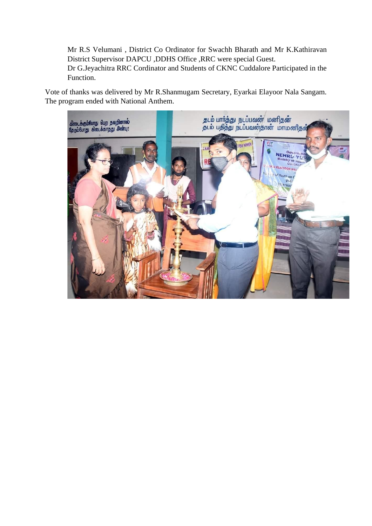Mr R.S Velumani , District Co Ordinator for Swachh Bharath and Mr K.Kathiravan District Supervisor DAPCU ,DDHS Office ,RRC were special Guest. Dr G.Jeyachitra RRC Cordinator and Students of CKNC Cuddalore Participated in the Function.

Vote of thanks was delivered by Mr R.Shanmugam Secretary, Eyarkai Elayoor Nala Sangam. The program ended with National Anthem.

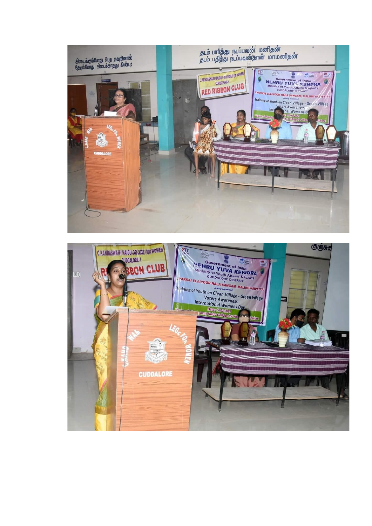